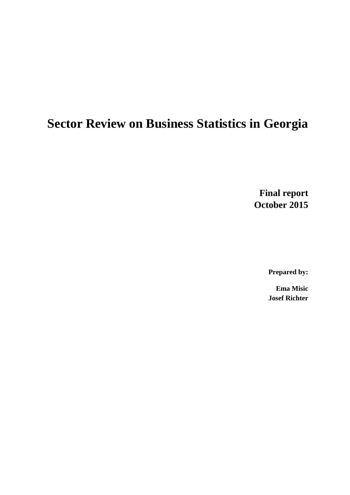# **Sector Review on Business Statistics in Georgia**

**Final report October 2015**

**Prepared by:**

**Ema Misic Josef Richter**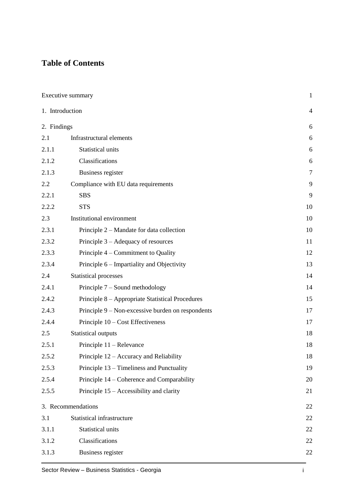# **Table of Contents**

|                 | Executive summary                                 | $\mathbf{1}$   |
|-----------------|---------------------------------------------------|----------------|
| 1. Introduction |                                                   | $\overline{4}$ |
| 2. Findings     |                                                   | 6              |
| 2.1             | Infrastructural elements                          | 6              |
| 2.1.1           | Statistical units                                 | 6              |
| 2.1.2           | Classifications                                   | 6              |
| 2.1.3           | <b>Business register</b>                          | 7              |
| 2.2             | Compliance with EU data requirements              | 9              |
| 2.2.1           | <b>SBS</b>                                        | 9              |
| 2.2.2           | <b>STS</b>                                        | 10             |
| 2.3             | Institutional environment                         | 10             |
| 2.3.1           | Principle 2 – Mandate for data collection         | 10             |
| 2.3.2           | Principle 3 – Adequacy of resources               | 11             |
| 2.3.3           | Principle 4 – Commitment to Quality               | 12             |
| 2.3.4           | Principle 6 – Impartiality and Objectivity        | 13             |
| 2.4             | Statistical processes                             | 14             |
| 2.4.1           | Principle 7 – Sound methodology                   | 14             |
| 2.4.2           | Principle 8 – Appropriate Statistical Procedures  | 15             |
| 2.4.3           | Principle 9 – Non-excessive burden on respondents | 17             |
| 2.4.4           | Principle 10 – Cost Effectiveness                 | 17             |
| 2.5             | <b>Statistical outputs</b>                        | 18             |
| 2.5.1           | Principle 11 – Relevance                          | 18             |
| 2.5.2           | Principle 12 – Accuracy and Reliability           | 18             |
| 2.5.3           | Principle 13 – Timeliness and Punctuality         | 19             |
| 2.5.4           | Principle 14 – Coherence and Comparability        | 20             |
| 2.5.5           | Principle 15 – Accessibility and clarity          | 21             |
|                 | 3. Recommendations                                | 22             |
| 3.1             | Statistical infrastructure                        | 22             |
| 3.1.1           | Statistical units                                 | 22             |
| 3.1.2           | Classifications                                   | 22             |
| 3.1.3           | Business register                                 | 22             |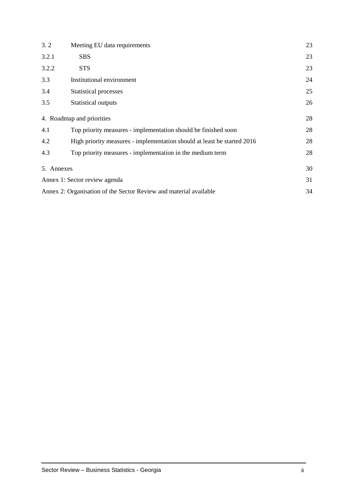| 3.2                                                               | Meeting EU data requirements                                            | 23 |
|-------------------------------------------------------------------|-------------------------------------------------------------------------|----|
| 3.2.1                                                             | <b>SBS</b>                                                              | 23 |
| 3.2.2                                                             | <b>STS</b>                                                              | 23 |
| 3.3                                                               | Institutional environment                                               | 24 |
| 3.4                                                               | Statistical processes                                                   | 25 |
| 3.5                                                               | Statistical outputs                                                     | 26 |
|                                                                   | 4. Roadmap and priorities                                               | 28 |
| 4.1                                                               | Top priority measures - implementation should be finished soon          | 28 |
| 4.2                                                               | High priority measures - implementation should at least be started 2016 | 28 |
| 4.3                                                               | Top priority measures - implementation in the medium term               | 28 |
| 5. Annexes                                                        |                                                                         | 30 |
|                                                                   | Annex 1: Sector review agenda                                           | 31 |
| Annex 2: Organisation of the Sector Review and material available |                                                                         | 34 |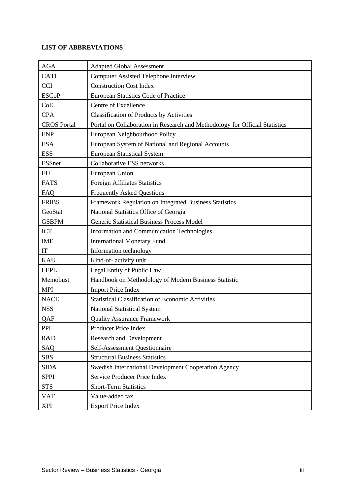#### **LIST OF ABBREVIATIONS**

| <b>AGA</b>         | <b>Adapted Global Assessment</b>                                            |
|--------------------|-----------------------------------------------------------------------------|
| <b>CATI</b>        | <b>Computer Assisted Telephone Interview</b>                                |
| <b>CCI</b>         | <b>Construction Cost Index</b>                                              |
| <b>ESCoP</b>       | European Statistics Code of Practice                                        |
| CoE                | Centre of Excellence                                                        |
| <b>CPA</b>         | <b>Classification of Products by Activities</b>                             |
| <b>CROS</b> Portal | Portal on Collaboration in Research and Methodology for Official Statistics |
| <b>ENP</b>         | European Neighbourhood Policy                                               |
| <b>ESA</b>         | European System of National and Regional Accounts                           |
| <b>ESS</b>         | <b>European Statistical System</b>                                          |
| <b>ESSnet</b>      | Collaborative ESS networks                                                  |
| EU                 | European Union                                                              |
| <b>FATS</b>        | <b>Foreign Affiliates Statistics</b>                                        |
| FAQ                | <b>Frequently Asked Questions</b>                                           |
| <b>FRIBS</b>       | Framework Regulation on Integrated Business Statistics                      |
| GeoStat            | National Statistics Office of Georgia                                       |
| <b>GSBPM</b>       | <b>Generic Statistical Business Process Model</b>                           |
| <b>ICT</b>         | Information and Communication Technologies                                  |
| <b>IMF</b>         | <b>International Monetary Fund</b>                                          |
| IT                 | Information technology                                                      |
| <b>KAU</b>         | Kind-of- activity unit                                                      |
| <b>LEPL</b>        | Legal Entity of Public Law                                                  |
| Memobust           | Handbook on Methodology of Modern Business Statistic                        |
| <b>MPI</b>         | <b>Import Price Index</b>                                                   |
| <b>NACE</b>        | <b>Statistical Classification of Economic Activities</b>                    |
| <b>NSS</b>         | <b>National Statistical System</b>                                          |
| QAF                | <b>Quality Assurance Framework</b>                                          |
| PPI                | Producer Price Index                                                        |
| R&D                | <b>Research and Development</b>                                             |
| SAQ                | Self-Assessment Questionnaire                                               |
| <b>SBS</b>         | <b>Structural Business Statistics</b>                                       |
| <b>SIDA</b>        | Swedish International Development Cooperation Agency                        |
| <b>SPPI</b>        | Service Producer Price Index                                                |
| <b>STS</b>         | <b>Short-Term Statistics</b>                                                |
| <b>VAT</b>         | Value-added tax                                                             |
| <b>XPI</b>         | <b>Export Price Index</b>                                                   |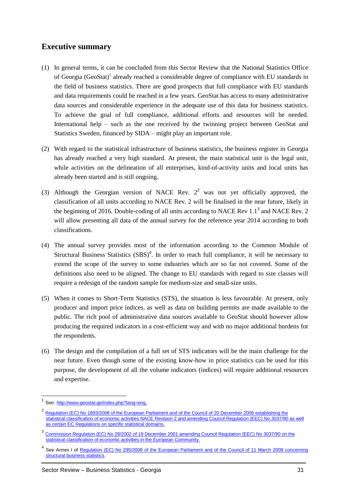### <span id="page-4-0"></span>**Executive summary**

- (1) In general terms, it can be concluded from this Sector Review that the National Statistics Office of Georgia (GeoStat)<sup>1</sup> already reached a considerable degree of compliance with EU standards in the field of business statistics. There are good prospects that full compliance with EU standards and data requirements could be reached in a few years. GeoStat has access to many administrative data sources and considerable experience in the adequate use of this data for business statistics. To achieve the goal of full compliance, additional efforts and resources will be needed. International help – such as the one received by the twinning project between GeoStat and Statistics Sweden, financed by SIDA – might play an important role.
- (2) With regard to the statistical infrastructure of business statistics, the business register in Georgia has already reached a very high standard. At present, the main statistical unit is the legal unit, while activities on the delineation of all enterprises, kind-of-activity units and local units has already been started and is still ongoing.
- (3) Although the Georgian version of NACE Rev.  $2^2$  was not yet officially approved, the classification of all units according to NACE Rev. 2 will be finalised in the near future, likely in the beginning of 2016. Double-coding of all units according to NACE Rev  $1.1<sup>3</sup>$  and NACE Rev. 2 will allow presenting all data of the annual survey for the reference year 2014 according to both classifications.
- (4) The annual survey provides most of the information according to the Common Module of Structural Business Statistics  $(SBS)^4$ . In order to reach full compliance, it will be necessary to extend the scope of the survey to some industries which are so far not covered. Some of the definitions also need to be aligned. The change to EU standards with regard to size classes will require a redesign of the random sample for medium-size and small-size units.
- (5) When it comes to Short-Term Statistics (STS), the situation is less favourable. At present, only producer and import price indices, as well as data on building permits are made available to the public. The rich pool of administrative data sources available to GeoStat should however allow producing the required indicators in a cost-efficient way and with no major additional burdens for the respondents.
- (6) The design and the compilation of a full set of STS indicators will be the main challenge for the near future. Even though some of the existing know-how in price statistics can be used for this purpose, the development of all the volume indicators (indices) will require additional resources and expertise.

 1 See: [http://www.geostat.ge/index.php?lang=eng.](http://www.geostat.ge/index.php?lang=eng)

<sup>&</sup>lt;sup>2</sup> Regulation (EC) No 1893/2006 of the European Parliament and of the Council of 20 December 2006 establishing the [statistical classification of economic activities NACE Revision 2 and amending Council Regulation \(EEC\) No 3037/90 as well](http://ec.europa.eu/eurostat/documents/747709/753172/classification-nomenclature.pdf)  [as certain EC Regulations on specific statistical domains.](http://ec.europa.eu/eurostat/documents/747709/753172/classification-nomenclature.pdf)

<sup>&</sup>lt;sup>3</sup> Commission Regulation (EC) No 29/2002 of 19 December 2001 amending Council Regulation (EEC) No 3037/90 on the [statistical classification of economic activities in the European Community.](http://ec.europa.eu/eurostat/documents/747709/753172/classification-nomenclature.pdf)

<sup>4</sup> See Annex I of [Regulation \(EC\) No 295/2008 of the European Parliament and of the Council of 11 March 2008 concerning](http://eur-lex.europa.eu/LexUriServ/LexUriServ.do?uri=OJ:L:2008:097:0013:0059:EN:PDF)  [structural business statistics.](http://eur-lex.europa.eu/LexUriServ/LexUriServ.do?uri=OJ:L:2008:097:0013:0059:EN:PDF)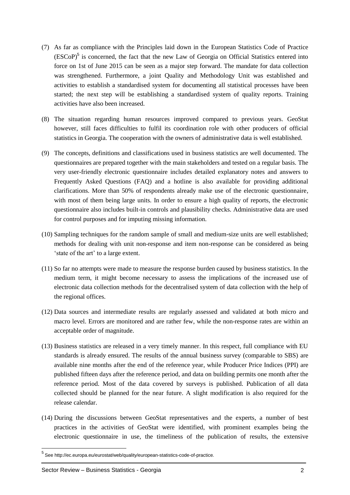- (7) As far as compliance with the Principles laid down in the European Statistics Code of Practice  $(ESCoP)<sup>5</sup>$  is concerned, the fact that the new Law of Georgia on Official Statistics entered into force on 1st of June 2015 can be seen as a major step forward. The mandate for data collection was strengthened. Furthermore, a joint Quality and Methodology Unit was established and activities to establish a standardised system for documenting all statistical processes have been started; the next step will be establishing a standardised system of quality reports. Training activities have also been increased.
- (8) The situation regarding human resources improved compared to previous years. GeoStat however, still faces difficulties to fulfil its coordination role with other producers of official statistics in Georgia. The cooperation with the owners of administrative data is well established.
- (9) The concepts, definitions and classifications used in business statistics are well documented. The questionnaires are prepared together with the main stakeholders and tested on a regular basis. The very user-friendly electronic questionnaire includes detailed explanatory notes and answers to Frequently Asked Questions (FAQ) and a hotline is also available for providing additional clarifications. More than 50% of respondents already make use of the electronic questionnaire, with most of them being large units. In order to ensure a high quality of reports, the electronic questionnaire also includes built-in controls and plausibility checks. Administrative data are used for control purposes and for imputing missing information.
- (10) Sampling techniques for the random sample of small and medium-size units are well established; methods for dealing with unit non-response and item non-response can be considered as being 'state of the art' to a large extent.
- (11) So far no attempts were made to measure the response burden caused by business statistics. In the medium term, it might become necessary to assess the implications of the increased use of electronic data collection methods for the decentralised system of data collection with the help of the regional offices.
- (12) Data sources and intermediate results are regularly assessed and validated at both micro and macro level. Errors are monitored and are rather few, while the non-response rates are within an acceptable order of magnitude.
- (13) Business statistics are released in a very timely manner. In this respect, full compliance with EU standards is already ensured. The results of the annual business survey (comparable to SBS) are available nine months after the end of the reference year, while Producer Price Indices (PPI) are published fifteen days after the reference period, and data on building permits one month after the reference period. Most of the data covered by surveys is published. Publication of all data collected should be planned for the near future. A slight modification is also required for the release calendar.
- (14) During the discussions between GeoStat representatives and the experts, a number of best practices in the activities of GeoStat were identified, with prominent examples being the electronic questionnaire in use, the timeliness of the publication of results, the extensive

 5 Se[e http://ec.europa.eu/eurostat/web/quality/european-statistics-code-of-practice.](http://ec.europa.eu/eurostat/web/quality/european-statistics-code-of-practice)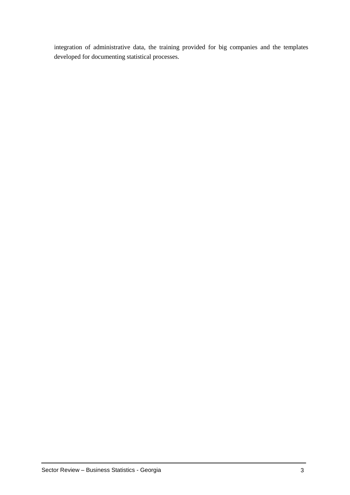integration of administrative data, the training provided for big companies and the templates developed for documenting statistical processes.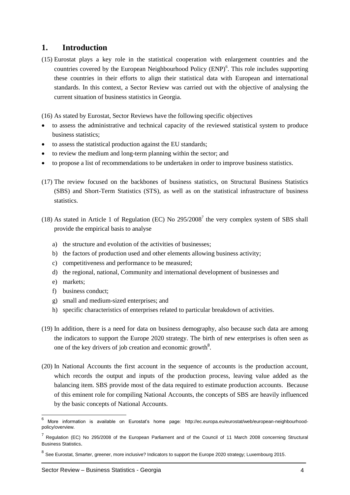#### <span id="page-7-0"></span>**1. Introduction**

(15) Eurostat plays a key role in the statistical cooperation with enlargement countries and the countries covered by the European Neighbourhood Policy (ENP)<sup>6</sup>. This role includes supporting these countries in their efforts to align their statistical data with European and international standards. In this context, a Sector Review was carried out with the objective of analysing the current situation of business statistics in Georgia.

(16) As stated by Eurostat, Sector Reviews have the following specific objectives

- to assess the administrative and technical capacity of the reviewed statistical system to produce business statistics;
- to assess the statistical production against the EU standards;
- to review the medium and long-term planning within the sector; and
- to propose a list of recommendations to be undertaken in order to improve business statistics.
- (17) The review focused on the backbones of business statistics, on Structural Business Statistics (SBS) and Short-Term Statistics (STS), as well as on the statistical infrastructure of business statistics.
- (18) As stated in Article 1 of Regulation (EC) No  $295/2008<sup>7</sup>$  the very complex system of SBS shall provide the empirical basis to analyse
	- a) the structure and evolution of the activities of businesses;
	- b) the factors of production used and other elements allowing business activity;
	- c) competitiveness and performance to be measured;
	- d) the regional, national, Community and international development of businesses and
	- e) markets;

- f) business conduct;
- g) small and medium-sized enterprises; and
- h) specific characteristics of enterprises related to particular breakdown of activities.
- (19) In addition, there is a need for data on business demography, also because such data are among the indicators to support the Europe 2020 strategy. The birth of new enterprises is often seen as one of the key drivers of job creation and economic growth<sup>8</sup>.
- (20) In National Accounts the first account in the sequence of accounts is the production account, which records the output and inputs of the production process, leaving value added as the balancing item. SBS provide most of the data required to estimate production accounts. Because of this eminent role for compiling National Accounts, the concepts of SBS are heavily influenced by the basic concepts of National Accounts.

<sup>6</sup> More information is available on Eurostat's home page: [http://ec.europa.eu/eurostat/web/european-neighbourhood](http://ec.europa.eu/eurostat/web/european-neighbourhood-policy/overview)[policy/overview.](http://ec.europa.eu/eurostat/web/european-neighbourhood-policy/overview)

<sup>&</sup>lt;sup>7</sup> Regulation (EC) No 295/2008 of the European Parliament and of the Council of 11 March 2008 concerning Structural [Business Statistics](http://eur-lex.europa.eu/LexUriServ/LexUriServ.do?uri=OJ:L:2008:097:0013:0059:EN:PDF).

<sup>&</sup>lt;sup>8</sup> See Eurostat, Smarter, greener, more inclusive? Indicators to support the Europe 2020 strategy; Luxembourg 2015.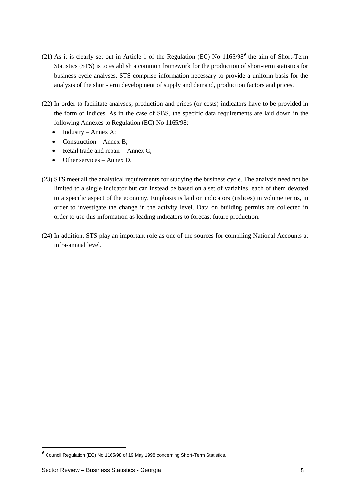- (21) As it is clearly set out in Article 1 of the Regulation (EC) No  $1165/98<sup>9</sup>$  the aim of Short-Term Statistics (STS) is to establish a common framework for the production of short-term statistics for business cycle analyses. STS comprise information necessary to provide a uniform basis for the analysis of the short-term development of supply and demand, production factors and prices.
- (22) In order to facilitate analyses, production and prices (or costs) indicators have to be provided in the form of indices. As in the case of SBS, the specific data requirements are laid down in the following Annexes to Regulation (EC) No 1165/98:
	- $\bullet$  Industry Annex A;
	- Construction Annex B;
	- $\bullet$  Retail trade and repair Annex C;
	- Other services Annex D.
- (23) STS meet all the analytical requirements for studying the business cycle. The analysis need not be limited to a single indicator but can instead be based on a set of variables, each of them devoted to a specific aspect of the economy. Emphasis is laid on indicators (indices) in volume terms, in order to investigate the change in the activity level. Data on building permits are collected in order to use this information as leading indicators to forecast future production.
- (24) In addition, STS play an important role as one of the sources for compiling National Accounts at infra-annual level.

-

<sup>9</sup> [Council Regulation \(EC\) No 1165/98 of 19 May 1998 concerning Short-Term Statistics.](http://eur-lex.europa.eu/LexUriServ/LexUriServ.do?uri=CONSLEG:1998R1165:20090101:EN:PDF)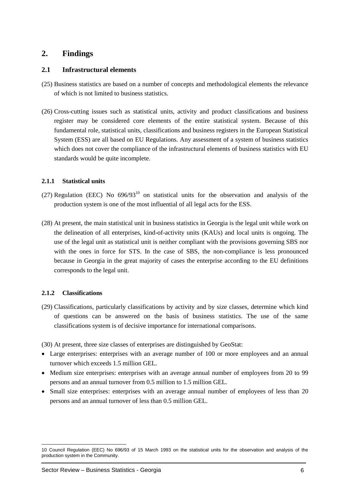### <span id="page-9-0"></span>**2. Findings**

#### <span id="page-9-1"></span>**2.1 Infrastructural elements**

- (25) Business statistics are based on a number of concepts and methodological elements the relevance of which is not limited to business statistics.
- (26) Cross-cutting issues such as statistical units, activity and product classifications and business register may be considered core elements of the entire statistical system. Because of this fundamental role, statistical units, classifications and business registers in the European Statistical System (ESS) are all based on EU Regulations. Any assessment of a system of business statistics which does not cover the compliance of the infrastructural elements of business statistics with EU standards would be quite incomplete.

#### <span id="page-9-2"></span>**2.1.1 Statistical units**

- (27) Regulation (EEC) No  $696/93^{10}$  on statistical units for the observation and analysis of the production system is one of the most influential of all legal acts for the ESS.
- (28) At present, the main statistical unit in business statistics in Georgia is the legal unit while work on the delineation of all enterprises, kind-of-activity units (KAUs) and local units is ongoing. The use of the legal unit as statistical unit is neither compliant with the provisions governing SBS nor with the ones in force for STS. In the case of SBS, the non-compliance is less pronounced because in Georgia in the great majority of cases the enterprise according to the EU definitions corresponds to the legal unit.

#### <span id="page-9-3"></span>**2.1.2 Classifications**

(29) Classifications, particularly classifications by activity and by size classes, determine which kind of questions can be answered on the basis of business statistics. The use of the same classifications system is of decisive importance for international comparisons.

(30) At present, three size classes of enterprises are distinguished by GeoStat:

- Large enterprises: enterprises with an average number of 100 or more employees and an annual turnover which exceeds 1.5 million GEL.
- Medium size enterprises: enterprises with an average annual number of employees from 20 to 99 persons and an annual turnover from 0.5 million to 1.5 million GEL.
- Small size enterprises: enterprises with an average annual number of employees of less than 20 persons and an annual turnover of less than 0.5 million GEL.

<sup>-</sup>10 [Council Regulation \(EEC\) No 696/93 of 15 March 1993 on the statistical units for the observation and analysis of the](http://eur-lex.europa.eu/LexUriServ/LexUriServ.do?uri=CELEX:31993R0696:EN:HTML)  [production system in the Community.](http://eur-lex.europa.eu/LexUriServ/LexUriServ.do?uri=CELEX:31993R0696:EN:HTML)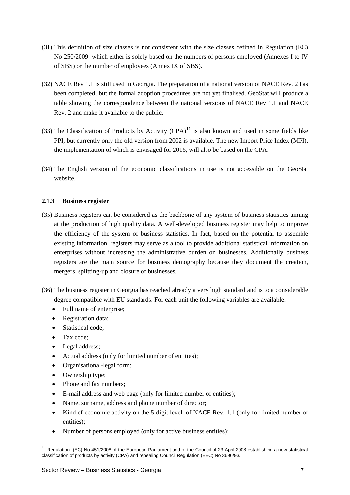- (31) This definition of size classes is not consistent with the size classes defined in Regulation (EC) No 250/2009 which either is solely based on the numbers of persons employed (Annexes I to IV of SBS) or the number of employees (Annex IX of SBS).
- (32) NACE Rev 1.1 is still used in Georgia. The preparation of a national version of NACE Rev. 2 has been completed, but the formal adoption procedures are not yet finalised. GeoStat will produce a table showing the correspondence between the national versions of NACE Rev 1.1 and NACE Rev. 2 and make it available to the public.
- (33) The Classification of Products by Activity  $(CPA)^{11}$  is also known and used in some fields like PPI, but currently only the old version from 2002 is available. The new Import Price Index (MPI), the implementation of which is envisaged for 2016, will also be based on the CPA.
- (34) The English version of the economic classifications in use is not accessible on the GeoStat website.

#### <span id="page-10-0"></span>**2.1.3 Business register**

- (35) Business registers can be considered as the backbone of any system of business statistics aiming at the production of high quality data. A well-developed business register may help to improve the efficiency of the system of business statistics. In fact, based on the potential to assemble existing information, registers may serve as a tool to provide additional statistical information on enterprises without increasing the administrative burden on businesses. Additionally business registers are the main source for business demography because they document the creation, mergers, splitting-up and closure of businesses.
- (36) The business register in Georgia has reached already a very high standard and is to a considerable degree compatible with EU standards. For each unit the following variables are available:
	- Full name of enterprise;
	- Registration data;
	- Statistical code:
	- Tax code;

- Legal address;
- Actual address (only for limited number of entities);
- Organisational-legal form;
- Ownership type;
- Phone and fax numbers:
- E-mail address and web page (only for limited number of entities);
- Name, surname, address and phone number of director;
- Kind of economic activity on the 5-digit level of NACE Rev. 1.1 (only for limited number of entities);
- Number of persons employed (only for active business entities);

 $11$  Regulation (EC) No 451/2008 of the European Parliament and of the Council of 23 April 2008 establishing a new statistical [classification of products by activity \(CPA\) and repealing Council Regulation \(EEC\) No 3696/93.](http://eur-lex.europa.eu/legal-content/EN/TXT/PDF/?uri=CELEX:32008R1178&from=EN)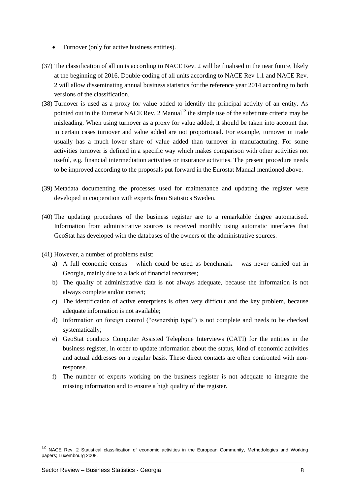- Turnover (only for active business entities).
- (37) The classification of all units according to NACE Rev. 2 will be finalised in the near future, likely at the beginning of 2016. Double-coding of all units according to NACE Rev 1.1 and NACE Rev. 2 will allow disseminating annual business statistics for the reference year 2014 according to both versions of the classification.
- (38) Turnover is used as a proxy for value added to identify the principal activity of an entity. As pointed out in the Eurostat NACE Rev. 2 Manual<sup>12</sup> the simple use of the substitute criteria may be misleading. When using turnover as a proxy for value added, it should be taken into account that in certain cases turnover and value added are not proportional. For example, turnover in trade usually has a much lower share of value added than turnover in manufacturing. For some activities turnover is defined in a specific way which makes comparison with other activities not useful, e.g. financial intermediation activities or insurance activities. The present procedure needs to be improved according to the proposals put forward in the Eurostat Manual mentioned above.
- (39) Metadata documenting the processes used for maintenance and updating the register were developed in cooperation with experts from Statistics Sweden.
- (40) The updating procedures of the business register are to a remarkable degree automatised. Information from administrative sources is received monthly using automatic interfaces that GeoStat has developed with the databases of the owners of the administrative sources.
- (41) However, a number of problems exist:
	- a) A full economic census which could be used as benchmark was never carried out in Georgia, mainly due to a lack of financial recourses;
	- b) The quality of administrative data is not always adequate, because the information is not always complete and/or correct;
	- c) The identification of active enterprises is often very difficult and the key problem, because adequate information is not available;
	- d) Information on foreign control ("ownership type") is not complete and needs to be checked systematically;
	- e) GeoStat conducts Computer Assisted Telephone Interviews (CATI) for the entities in the business register, in order to update information about the status, kind of economic activities and actual addresses on a regular basis. These direct contacts are often confronted with nonresponse.
	- f) The number of experts working on the business register is not adequate to integrate the missing information and to ensure a high quality of the register.

 $12$ <sup>12</sup> NACE Rev. 2 Statistical classification of economic activities in the European Community, Methodologies and Working papers; Luxembourg 2008.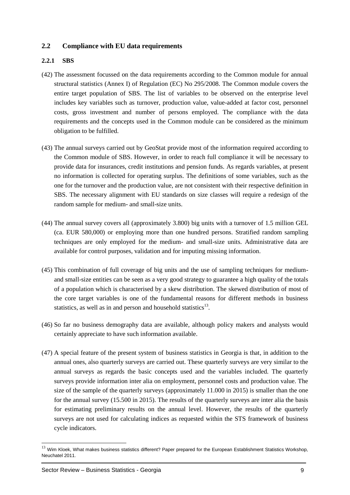#### <span id="page-12-0"></span>**2.2 Compliance with EU data requirements**

#### <span id="page-12-1"></span>**2.2.1 SBS**

- (42) The assessment focussed on the data requirements according to the Common module for annual structural statistics (Annex I) of Regulation (EC) No 295/2008. The Common module covers the entire target population of SBS. The list of variables to be observed on the enterprise level includes key variables such as turnover, production value, value-added at factor cost, personnel costs, gross investment and number of persons employed. The compliance with the data requirements and the concepts used in the Common module can be considered as the minimum obligation to be fulfilled.
- (43) The annual surveys carried out by GeoStat provide most of the information required according to the Common module of SBS. However, in order to reach full compliance it will be necessary to provide data for insurances, credit institutions and pension funds. As regards variables, at present no information is collected for operating surplus. The definitions of some variables, such as the one for the turnover and the production value, are not consistent with their respective definition in SBS. The necessary alignment with EU standards on size classes will require a redesign of the random sample for medium- and small-size units.
- (44) The annual survey covers all (approximately 3.800) big units with a turnover of 1.5 million GEL (ca. EUR 580,000) or employing more than one hundred persons. Stratified random sampling techniques are only employed for the medium- and small-size units. Administrative data are available for control purposes, validation and for imputing missing information.
- (45) This combination of full coverage of big units and the use of sampling techniques for mediumand small-size entities can be seen as a very good strategy to guarantee a high quality of the totals of a population which is characterised by a skew distribution. The skewed distribution of most of the core target variables is one of the fundamental reasons for different methods in business statistics, as well as in and person and household statistics $^{13}$ .
- (46) So far no business demography data are available, although policy makers and analysts would certainly appreciate to have such information available.
- (47) A special feature of the present system of business statistics in Georgia is that, in addition to the annual ones, also quarterly surveys are carried out. These quarterly surveys are very similar to the annual surveys as regards the basic concepts used and the variables included. The quarterly surveys provide information inter alia on employment, personnel costs and production value. The size of the sample of the quarterly surveys (approximately 11.000 in 2015) is smaller than the one for the annual survey (15.500 in 2015). The results of the quarterly surveys are inter alia the basis for estimating preliminary results on the annual level. However, the results of the quarterly surveys are not used for calculating indices as requested within the STS framework of business cycle indicators.

 $^{13}$  Wim Kloek, What makes business statistics different? Paper prepared for the European Establishment Statistics Workshop, Neuchatel 2011.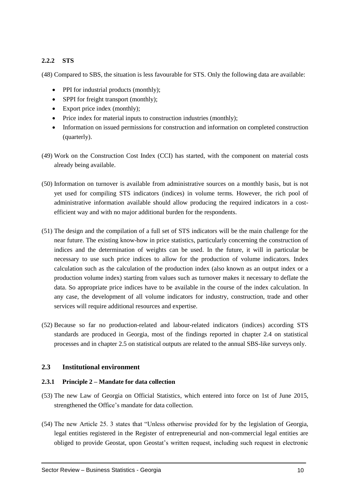#### <span id="page-13-0"></span>**2.2.2 STS**

(48) Compared to SBS, the situation is less favourable for STS. Only the following data are available:

- PPI for industrial products (monthly);
- SPPI for freight transport (monthly);
- Export price index (monthly);
- Price index for material inputs to construction industries (monthly);
- Information on issued permissions for construction and information on completed construction (quarterly).
- (49) Work on the Construction Cost Index (CCI) has started, with the component on material costs already being available.
- (50) Information on turnover is available from administrative sources on a monthly basis, but is not yet used for compiling STS indicators (indices) in volume terms. However, the rich pool of administrative information available should allow producing the required indicators in a costefficient way and with no major additional burden for the respondents.
- (51) The design and the compilation of a full set of STS indicators will be the main challenge for the near future. The existing know-how in price statistics, particularly concerning the construction of indices and the determination of weights can be used. In the future, it will in particular be necessary to use such price indices to allow for the production of volume indicators. Index calculation such as the calculation of the production index (also known as an output index or a production volume index) starting from values such as turnover makes it necessary to deflate the data. So appropriate price indices have to be available in the course of the index calculation. In any case, the development of all volume indicators for industry, construction, trade and other services will require additional resources and expertise.
- (52) Because so far no production-related and labour-related indicators (indices) according STS standards are produced in Georgia, most of the findings reported in chapter 2.4 on statistical processes and in chapter 2.5 on statistical outputs are related to the annual SBS-like surveys only.

#### <span id="page-13-1"></span>**2.3 Institutional environment**

#### <span id="page-13-2"></span>**2.3.1 Principle 2 – Mandate for data collection**

- (53) The new Law of Georgia on Official Statistics, which entered into force on 1st of June 2015, strengthened the Office's mandate for data collection.
- (54) The new Article 25. 3 states that "Unless otherwise provided for by the legislation of Georgia, legal entities registered in the Register of entrepreneurial and non-commercial legal entities are obliged to provide Geostat, upon Geostat's written request, including such request in electronic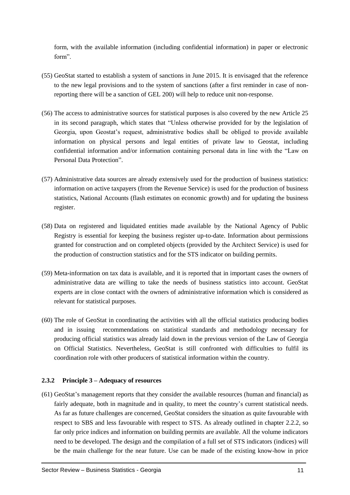form, with the available information (including confidential information) in paper or electronic form".

- (55) GeoStat started to establish a system of sanctions in June 2015. It is envisaged that the reference to the new legal provisions and to the system of sanctions (after a first reminder in case of nonreporting there will be a sanction of GEL 200) will help to reduce unit non-response.
- (56) The access to administrative sources for statistical purposes is also covered by the new Article 25 in its second paragraph, which states that "Unless otherwise provided for by the legislation of Georgia, upon Geostat's request, administrative bodies shall be obliged to provide available information on physical persons and legal entities of private law to Geostat, including confidential information and/or information containing personal data in line with the "Law on Personal Data Protection".
- (57) Administrative data sources are already extensively used for the production of business statistics: information on active taxpayers (from the Revenue Service) is used for the production of business statistics, National Accounts (flash estimates on economic growth) and for updating the business register.
- (58) Data on registered and liquidated entities made available by the National Agency of Public Registry is essential for keeping the business register up-to-date. Information about permissions granted for construction and on completed objects (provided by the Architect Service) is used for the production of construction statistics and for the STS indicator on building permits.
- (59) Meta-information on tax data is available, and it is reported that in important cases the owners of administrative data are willing to take the needs of business statistics into account. GeoStat experts are in close contact with the owners of administrative information which is considered as relevant for statistical purposes.
- (60) The role of GeoStat in coordinating the activities with all the official statistics producing bodies and in issuing recommendations on statistical standards and methodology necessary for producing official statistics was already laid down in the previous version of the Law of Georgia on Official Statistics. Nevertheless, GeoStat is still confronted with difficulties to fulfil its coordination role with other producers of statistical information within the country.

#### <span id="page-14-0"></span>**2.3.2 Principle 3 – Adequacy of resources**

(61) GeoStat's management reports that they consider the available resources (human and financial) as fairly adequate, both in magnitude and in quality, to meet the country's current statistical needs. As far as future challenges are concerned, GeoStat considers the situation as quite favourable with respect to SBS and less favourable with respect to STS. As already outlined in chapter 2.2.2, so far only price indices and information on building permits are available. All the volume indicators need to be developed. The design and the compilation of a full set of STS indicators (indices) will be the main challenge for the near future. Use can be made of the existing know-how in price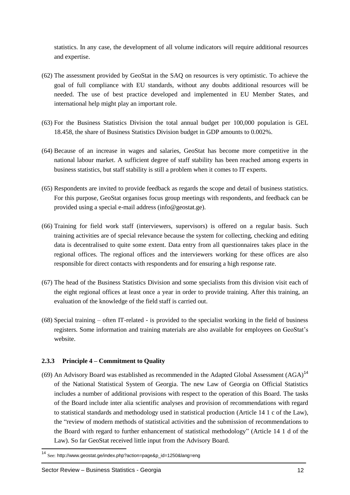statistics. In any case, the development of all volume indicators will require additional resources and expertise.

- (62) The assessment provided by GeoStat in the SAQ on resources is very optimistic. To achieve the goal of full compliance with EU standards, without any doubts additional resources will be needed. The use of best practice developed and implemented in EU Member States, and international help might play an important role.
- (63) For the Business Statistics Division the total annual budget per 100,000 population is GEL 18.458, the share of Business Statistics Division budget in GDP amounts to 0.002%.
- (64) Because of an increase in wages and salaries, GeoStat has become more competitive in the national labour market. A sufficient degree of staff stability has been reached among experts in business statistics, but staff stability is still a problem when it comes to IT experts.
- (65) Respondents are invited to provide feedback as regards the scope and detail of business statistics. For this purpose, GeoStat organises focus group meetings with respondents, and feedback can be provided using a special e-mail address (info@geostat.ge).
- (66) Training for field work staff (interviewers, supervisors) is offered on a regular basis. Such training activities are of special relevance because the system for collecting, checking and editing data is decentralised to quite some extent. Data entry from all questionnaires takes place in the regional offices. The regional offices and the interviewers working for these offices are also responsible for direct contacts with respondents and for ensuring a high response rate.
- (67) The head of the Business Statistics Division and some specialists from this division visit each of the eight regional offices at least once a year in order to provide training. After this training, an evaluation of the knowledge of the field staff is carried out.
- (68) Special training often IT-related is provided to the specialist working in the field of business registers. Some information and training materials are also available for employees on GeoStat's website.

#### <span id="page-15-0"></span>**2.3.3 Principle 4 – Commitment to Quality**

(69) An Advisory Board was established as recommended in the Adapted Global Assessment  $(AGA)^{14}$ of the National Statistical System of Georgia. The new Law of Georgia on Official Statistics includes a number of additional provisions with respect to the operation of this Board. The tasks of the Board include inter alia scientific analyses and provision of recommendations with regard to statistical standards and methodology used in statistical production (Article 14 1 c of the Law), the "review of modern methods of statistical activities and the submission of recommendations to the Board with regard to further enhancement of statistical methodology" (Article 14 1 d of the Law). So far GeoStat received little input from the Advisory Board.

<sup>14</sup> See: http://www.geostat.ge/index.php?action=page&p\_id=1250&lang=eng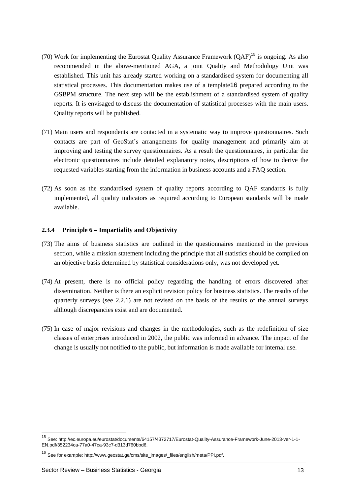- (70) Work for implementing the Eurostat Quality Assurance Framework  $(QAF)^{15}$  is ongoing. As also recommended in the above-mentioned AGA, a joint Quality and Methodology Unit was established. This unit has already started working on a standardised system for documenting all statistical processes. This documentation makes use of a template16 prepared according to the GSBPM structure. The next step will be the establishment of a standardised system of quality reports. It is envisaged to discuss the documentation of statistical processes with the main users. Quality reports will be published.
- (71) Main users and respondents are contacted in a systematic way to improve questionnaires. Such contacts are part of GeoStat's arrangements for quality management and primarily aim at improving and testing the survey questionnaires. As a result the questionnaires, in particular the electronic questionnaires include detailed explanatory notes, descriptions of how to derive the requested variables starting from the information in business accounts and a FAQ section.
- (72) As soon as the standardised system of quality reports according to QAF standards is fully implemented, all quality indicators as required according to European standards will be made available.

#### <span id="page-16-0"></span>**2.3.4 Principle 6 – Impartiality and Objectivity**

- (73) The aims of business statistics are outlined in the questionnaires mentioned in the previous section, while a mission statement including the principle that all statistics should be compiled on an objective basis determined by statistical considerations only, was not developed yet.
- (74) At present, there is no official policy regarding the handling of errors discovered after dissemination. Neither is there an explicit revision policy for business statistics. The results of the quarterly surveys (see  $2.2.1$ ) are not revised on the basis of the results of the annual surveys although discrepancies exist and are documented.
- (75) In case of major revisions and changes in the methodologies, such as the redefinition of size classes of enterprises introduced in 2002, the public was informed in advance. The impact of the change is usually not notified to the public, but information is made available for internal use.

<sup>15</sup> See[: http://ec.europa.eu/eurostat/documents/64157/4372717/Eurostat-Quality-Assurance-Framework-June-2013-ver-1-1-](http://ec.europa.eu/eurostat/documents/64157/4372717/Eurostat-Quality-Assurance-Framework-June-2013-ver-1-1-EN.pdf/352234ca-77a0-47ca-93c7-d313d760bbd6) [EN.pdf/352234ca-77a0-47ca-93c7-d313d760bbd6.](http://ec.europa.eu/eurostat/documents/64157/4372717/Eurostat-Quality-Assurance-Framework-June-2013-ver-1-1-EN.pdf/352234ca-77a0-47ca-93c7-d313d760bbd6)

<sup>16</sup> See for example[: http://www.geostat.ge/cms/site\\_images/\\_files/english/meta/PPI.pdf.](http://www.geostat.ge/cms/site_images/_files/english/meta/PPI.pdf)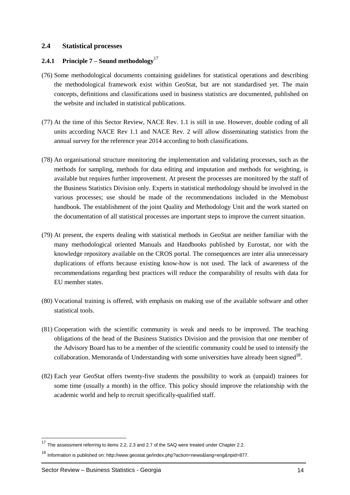#### <span id="page-17-0"></span>**2.4 Statistical processes**

#### <span id="page-17-1"></span>**2.4.1 Principle 7 – Sound methodology**<sup>17</sup>

- (76) Some methodological documents containing guidelines for statistical operations and describing the methodological framework exist within GeoStat, but are not standardised yet. The main concepts, definitions and classifications used in business statistics are documented, published on the website and included in statistical publications.
- (77) At the time of this Sector Review, NACE Rev. 1.1 is still in use. However, double coding of all units according NACE Rev 1.1 and NACE Rev. 2 will allow disseminating statistics from the annual survey for the reference year 2014 according to both classifications.
- (78) An organisational structure monitoring the implementation and validating processes, such as the methods for sampling, methods for data editing and imputation and methods for weighting, is available but requires further improvement. At present the processes are monitored by the staff of the Business Statistics Division only. Experts in statistical methodology should be involved in the various processes; use should be made of the recommendations included in the Memobust handbook. The establishment of the joint Quality and Methodology Unit and the work started on the documentation of all statistical processes are important steps to improve the current situation.
- (79) At present, the experts dealing with statistical methods in GeoStat are neither familiar with the many methodological oriented Manuals and Handbooks published by Eurostat, nor with the knowledge repository available on the CROS portal. The consequences are inter alia unnecessary duplications of efforts because existing know-how is not used. The lack of awareness of the recommendations regarding best practices will reduce the comparability of results with data for EU member states.
- (80) Vocational training is offered, with emphasis on making use of the available software and other statistical tools.
- (81) Cooperation with the scientific community is weak and needs to be improved. The teaching obligations of the head of the Business Statistics Division and the provision that one member of the Advisory Board has to be a member of the scientific community could be used to intensify the collaboration. Memoranda of Understanding with some universities have already been signed<sup>18</sup>.
- (82) Each year GeoStat offers twenty-five students the possibility to work as (unpaid) trainees for some time (usually a month) in the office. This policy should improve the relationship with the academic world and help to recruit specifically-qualified staff.

 $17$  The assessment referring to items 2.2, 2.3 and 2.7 of the SAQ were treated under Chapter 2.2.

<sup>18</sup> Information is published on: [http://www.geostat.ge/index.php?action=news&lang=eng&npid=877.](http://www.geostat.ge/index.php?action=news&lang=eng&npid=877)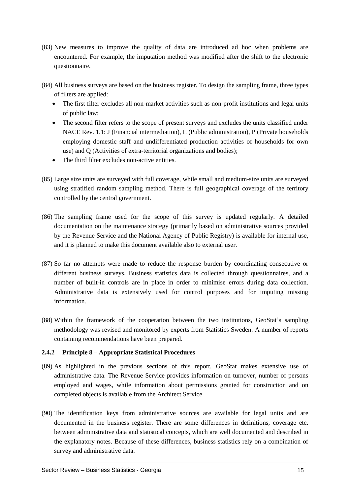- (83) New measures to improve the quality of data are introduced ad hoc when problems are encountered. For example, the imputation method was modified after the shift to the electronic questionnaire.
- (84) All business surveys are based on the business register. To design the sampling frame, three types of filters are applied:
	- The first filter excludes all non-market activities such as non-profit institutions and legal units of public law;
	- The second filter refers to the scope of present surveys and excludes the units classified under NACE Rev. 1.1: J (Financial intermediation), L (Public administration), P (Private households employing domestic staff and undifferentiated production activities of households for own use) and Q (Activities of extra-territorial organizations and bodies);
	- The third filter excludes non-active entities.
- (85) Large size units are surveyed with full coverage, while small and medium-size units are surveyed using stratified random sampling method. There is full geographical coverage of the territory controlled by the central government.
- (86) The sampling frame used for the scope of this survey is updated regularly. A detailed documentation on the maintenance strategy (primarily based on administrative sources provided by the Revenue Service and the National Agency of Public Registry) is available for internal use, and it is planned to make this document available also to external user.
- (87) So far no attempts were made to reduce the response burden by coordinating consecutive or different business surveys. Business statistics data is collected through questionnaires, and a number of built-in controls are in place in order to minimise errors during data collection. Administrative data is extensively used for control purposes and for imputing missing information.
- (88) Within the framework of the cooperation between the two institutions, GeoStat's sampling methodology was revised and monitored by experts from Statistics Sweden. A number of reports containing recommendations have been prepared.

#### <span id="page-18-0"></span>**2.4.2 Principle 8 – Appropriate Statistical Procedures**

- (89) As highlighted in the previous sections of this report, GeoStat makes extensive use of administrative data. The Revenue Service provides information on turnover, number of persons employed and wages, while information about permissions granted for construction and on completed objects is available from the Architect Service.
- (90) The identification keys from administrative sources are available for legal units and are documented in the business register. There are some differences in definitions, coverage etc. between administrative data and statistical concepts, which are well documented and described in the explanatory notes. Because of these differences, business statistics rely on a combination of survey and administrative data.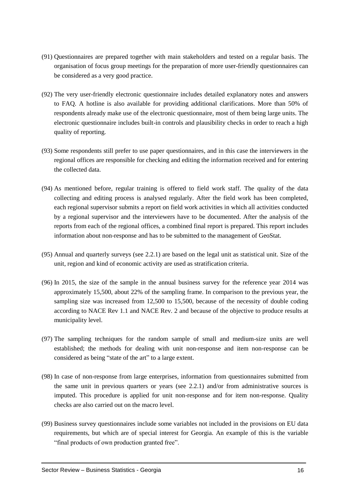- (91) Questionnaires are prepared together with main stakeholders and tested on a regular basis. The organisation of focus group meetings for the preparation of more user-friendly questionnaires can be considered as a very good practice.
- (92) The very user-friendly electronic questionnaire includes detailed explanatory notes and answers to FAQ. A hotline is also available for providing additional clarifications. More than 50% of respondents already make use of the electronic questionnaire, most of them being large units. The electronic questionnaire includes built-in controls and plausibility checks in order to reach a high quality of reporting.
- (93) Some respondents still prefer to use paper questionnaires, and in this case the interviewers in the regional offices are responsible for checking and editing the information received and for entering the collected data.
- (94) As mentioned before, regular training is offered to field work staff. The quality of the data collecting and editing process is analysed regularly. After the field work has been completed, each regional supervisor submits a report on field work activities in which all activities conducted by a regional supervisor and the interviewers have to be documented. After the analysis of the reports from each of the regional offices, a combined final report is prepared. This report includes information about non-response and has to be submitted to the management of GeoStat.
- (95) Annual and quarterly surveys (see 2.2.1) are based on the legal unit as statistical unit. Size of the unit, region and kind of economic activity are used as stratification criteria.
- (96) In 2015, the size of the sample in the annual business survey for the reference year 2014 was approximately 15,500, about 22% of the sampling frame. In comparison to the previous year, the sampling size was increased from 12,500 to 15,500, because of the necessity of double coding according to NACE Rev 1.1 and NACE Rev. 2 and because of the objective to produce results at municipality level.
- (97) The sampling techniques for the random sample of small and medium-size units are well established; the methods for dealing with unit non-response and item non-response can be considered as being "state of the art" to a large extent.
- (98) In case of non-response from large enterprises, information from questionnaires submitted from the same unit in previous quarters or years (see 2.2.1) and/or from administrative sources is imputed. This procedure is applied for unit non-response and for item non-response. Quality checks are also carried out on the macro level.
- (99) Business survey questionnaires include some variables not included in the provisions on EU data requirements, but which are of special interest for Georgia. An example of this is the variable "final products of own production granted free".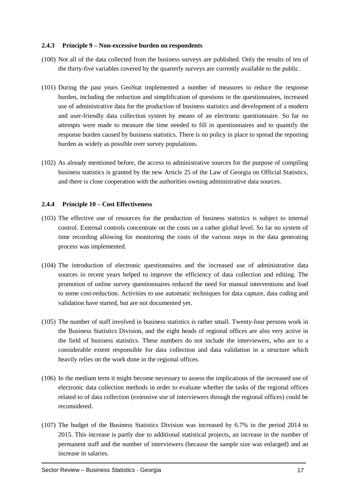#### <span id="page-20-0"></span>**2.4.3 Principle 9 – Non-excessive burden on respondents**

- (100) Not all of the data collected from the business surveys are published. Only the results of ten of the thirty-five variables covered by the quarterly surveys are currently available to the public.
- (101) During the past years GeoStat implemented a number of measures to reduce the response burden, including the reduction and simplification of questions in the questionnaires, increased use of administrative data for the production of business statistics and development of a modern and user-friendly data collection system by means of an electronic questionnaire. So far no attempts were made to measure the time needed to fill in questionnaires and to quantify the response burden caused by business statistics. There is no policy in place to spread the reporting burden as widely as possible over survey populations.
- (102) As already mentioned before, the access to administrative sources for the purpose of compiling business statistics is granted by the new Article 25 of the Law of Georgia on Official Statistics, and there is close cooperation with the authorities owning administrative data sources.

#### <span id="page-20-1"></span>**2.4.4 Principle 10 – Cost Effectiveness**

- (103) The effective use of resources for the production of business statistics is subject to internal control. External controls concentrate on the costs on a rather global level. So far no system of time recording allowing for monitoring the costs of the various steps in the data generating process was implemented.
- (104) The introduction of electronic questionnaires and the increased use of administrative data sources in recent years helped to improve the efficiency of data collection and editing. The promotion of online survey questionnaires reduced the need for manual interventions and lead to some cost-reduction. Activities to use automatic techniques for data capture, data coding and validation have started, but are not documented yet.
- (105) The number of staff involved in business statistics is rather small. Twenty-four persons work in the Business Statistics Division, and the eight heads of regional offices are also very active in the field of business statistics. These numbers do not include the interviewers, who are to a considerable extent responsible for data collection and data validation in a structure which heavily relies on the work done in the regional offices.
- (106) In the medium term it might become necessary to assess the implications of the increased use of electronic data collection methods in order to evaluate whether the tasks of the regional offices related to of data collection (extensive use of interviewers through the regional offices) could be reconsidered.
- (107) The budget of the Business Statistics Division was increased by 6.7% in the period 2014 to 2015. This increase is partly due to additional statistical projects, an increase in the number of permanent staff and the number of interviewers (because the sample size was enlarged) and an increase in salaries.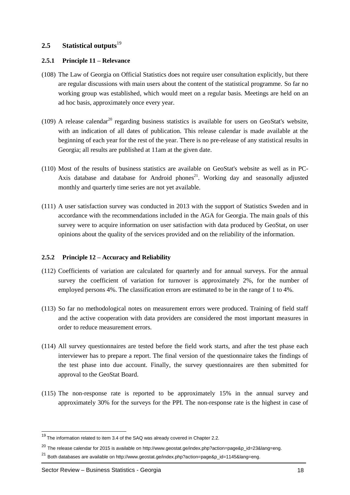#### <span id="page-21-0"></span>2.5 **Statistical outputs**<sup>19</sup>

#### <span id="page-21-1"></span>**2.5.1 Principle 11 – Relevance**

- (108) The Law of Georgia on Official Statistics does not require user consultation explicitly, but there are regular discussions with main users about the content of the statistical programme. So far no working group was established, which would meet on a regular basis. Meetings are held on an ad hoc basis, approximately once every year.
- (109) A release calendar<sup>20</sup> regarding business statistics is available for users on GeoStat's website, with an indication of all dates of publication. This release calendar is made available at the beginning of each year for the rest of the year. There is no pre-release of any statistical results in Georgia; all results are published at 11am at the given date.
- (110) Most of the results of business statistics are available on GeoStat's website as well as in PC-Axis database and database for Android phones<sup>21</sup>. Working day and seasonally adjusted monthly and quarterly time series are not yet available.
- (111) A user satisfaction survey was conducted in 2013 with the support of Statistics Sweden and in accordance with the recommendations included in the AGA for Georgia. The main goals of this survey were to acquire information on user satisfaction with data produced by GeoStat, on user opinions about the quality of the services provided and on the reliability of the information.

#### <span id="page-21-2"></span>**2.5.2 Principle 12 – Accuracy and Reliability**

- (112) Coefficients of variation are calculated for quarterly and for annual surveys. For the annual survey the coefficient of variation for turnover is approximately 2%, for the number of employed persons 4%. The classification errors are estimated to be in the range of 1 to 4%.
- (113) So far no methodological notes on measurement errors were produced. Training of field staff and the active cooperation with data providers are considered the most important measures in order to reduce measurement errors.
- (114) All survey questionnaires are tested before the field work starts, and after the test phase each interviewer has to prepare a report. The final version of the questionnaire takes the findings of the test phase into due account. Finally, the survey questionnaires are then submitted for approval to the GeoStat Board.
- (115) The non-response rate is reported to be approximately 15% in the annual survey and approximately 30% for the surveys for the PPI. The non-response rate is the highest in case of

<sup>&</sup>lt;sup>19</sup> The information related to item 3.4 of the SAQ was already covered in Chapter 2.2.

<sup>&</sup>lt;sup>20</sup> The release calendar for 2015 is available o[n http://www.geostat.ge/index.php?action=page&p\\_id=23&lang=eng.](http://www.geostat.ge/index.php?action=page&p_id=23&lang=eng)

<sup>&</sup>lt;sup>21</sup> Both databases are available o[n http://www.geostat.ge/index.php?action=page&p\\_id=1145&lang=eng.](http://www.geostat.ge/index.php?action=page&p_id=1145&lang=eng)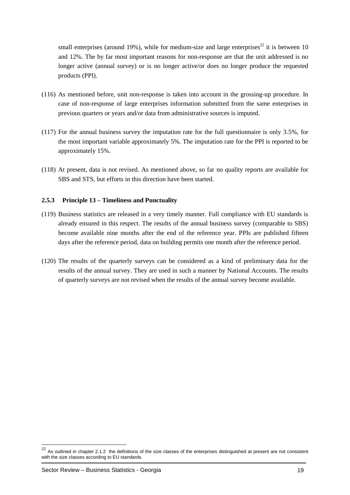small enterprises (around 19%), while for medium-size and large enterprises<sup>22</sup> it is between 10 and 12%. The by far most important reasons for non-response are that the unit addressed is no longer active (annual survey) or is no longer active/or does no longer produce the requested products (PPI).

- (116) As mentioned before, unit non-response is taken into account in the grossing-up procedure. In case of non-response of large enterprises information submitted from the same enterprises in previous quarters or years and/or data from administrative sources is imputed.
- (117) For the annual business survey the imputation rate for the full questionnaire is only 3.5%, for the most important variable approximately 5%. The imputation rate for the PPI is reported to be approximately 15%.
- (118) At present, data is not revised. As mentioned above, so far no quality reports are available for SBS and STS, but efforts in this direction have been started.

#### <span id="page-22-0"></span>**2.5.3 Principle 13 – Timeliness and Punctuality**

- (119) Business statistics are released in a very timely manner. Full compliance with EU standards is already ensured in this respect. The results of the annual business survey (comparable to SBS) become available nine months after the end of the reference year. PPIs are published fifteen days after the reference period, data on building permits one month after the reference period.
- (120) The results of the quarterly surveys can be considered as a kind of preliminary data for the results of the annual survey. They are used in such a manner by National Accounts. The results of quarterly surveys are not revised when the results of the annual survey become available.

 $^{22}$  As outlined in chapter 2.1.2 the definitions of the size classes of the enterprises distinguished at present are not consistent with the size classes according to EU standards.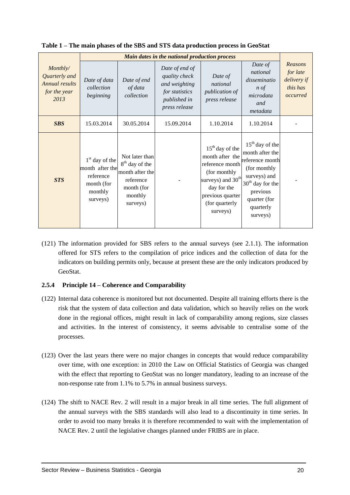|                                                                            | Main dates in the national production process                                         |                                                                                                                   |                                                                                                     |                                                                                                                                                                  |                                                                                                                                                                    |                                                            |
|----------------------------------------------------------------------------|---------------------------------------------------------------------------------------|-------------------------------------------------------------------------------------------------------------------|-----------------------------------------------------------------------------------------------------|------------------------------------------------------------------------------------------------------------------------------------------------------------------|--------------------------------------------------------------------------------------------------------------------------------------------------------------------|------------------------------------------------------------|
| Monthly/<br>Quarterly and<br><b>Annual results</b><br>for the year<br>2013 | Date of data<br>collection<br>beginning                                               | Date of end<br>of data<br>collection                                                                              | Date of end of<br>quality check<br>and weighting<br>for statistics<br>published in<br>press release | Date of<br>national<br>publication of<br>press release                                                                                                           | Date of<br>national<br>disseminatio<br>$n \text{ of }$<br>microdata<br>and<br>metadata                                                                             | Reasons<br>for late<br>delivery if<br>this has<br>occurred |
| <b>SBS</b>                                                                 | 15.03.2014                                                                            | 30.05.2014                                                                                                        | 15.09.2014                                                                                          | 1.10.2014                                                                                                                                                        | 1.10.2014                                                                                                                                                          |                                                            |
| <b>STS</b>                                                                 | $1st$ day of the<br>month after the<br>reference<br>month (for<br>monthly<br>surveys) | Not later than<br>8 <sup>th</sup> day of the<br>month after the<br>reference<br>month (for<br>monthly<br>surveys) |                                                                                                     | $15th$ day of the<br>month after the<br>reference month<br>(for monthly)<br>surveys) and $30th$<br>day for the<br>previous quarter<br>(for quarterly<br>surveys) | $15th$ day of the<br>month after the<br>reference month<br>(for monthly<br>surveys) and<br>$30th$ day for the<br>previous<br>quarter (for<br>quarterly<br>surveys) |                                                            |

**Table 1 – The main phases of the SBS and STS data production process in GeoStat**

(121) The information provided for SBS refers to the annual surveys (see 2.1.1). The information offered for STS refers to the compilation of price indices and the collection of data for the indicators on building permits only, because at present these are the only indicators produced by GeoStat.

#### <span id="page-23-0"></span>**2.5.4 Principle 14 – Coherence and Comparability**

- (122) Internal data coherence is monitored but not documented. Despite all training efforts there is the risk that the system of data collection and data validation, which so heavily relies on the work done in the regional offices, might result in lack of comparability among regions, size classes and activities. In the interest of consistency, it seems advisable to centralise some of the processes.
- (123) Over the last years there were no major changes in concepts that would reduce comparability over time, with one exception: in 2010 the Law on Official Statistics of Georgia was changed with the effect that reporting to GeoStat was no longer mandatory, leading to an increase of the non-response rate from 1.1% to 5.7% in annual business surveys.
- (124) The shift to NACE Rev. 2 will result in a major break in all time series. The full alignment of the annual surveys with the SBS standards will also lead to a discontinuity in time series. In order to avoid too many breaks it is therefore recommended to wait with the implementation of NACE Rev. 2 until the legislative changes planned under FRIBS are in place.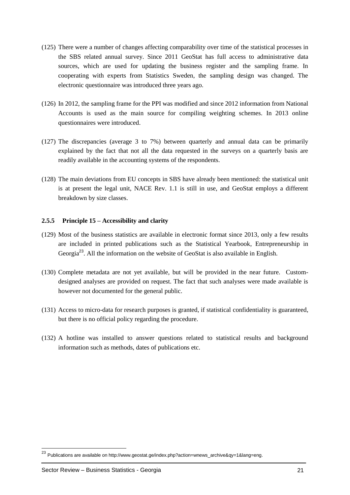- (125) There were a number of changes affecting comparability over time of the statistical processes in the SBS related annual survey. Since 2011 GeoStat has full access to administrative data sources, which are used for updating the business register and the sampling frame. In cooperating with experts from Statistics Sweden, the sampling design was changed. The electronic questionnaire was introduced three years ago.
- (126) In 2012, the sampling frame for the PPI was modified and since 2012 information from National Accounts is used as the main source for compiling weighting schemes. In 2013 online questionnaires were introduced.
- (127) The discrepancies (average 3 to 7%) between quarterly and annual data can be primarily explained by the fact that not all the data requested in the surveys on a quarterly basis are readily available in the accounting systems of the respondents.
- (128) The main deviations from EU concepts in SBS have already been mentioned: the statistical unit is at present the legal unit, NACE Rev. 1.1 is still in use, and GeoStat employs a different breakdown by size classes.

#### <span id="page-24-0"></span>**2.5.5 Principle 15 – Accessibility and clarity**

- (129) Most of the business statistics are available in electronic format since 2013, only a few results are included in printed publications such as the Statistical Yearbook, Entrepreneurship in Georgia<sup>23</sup>. All the information on the website of GeoStat is also available in English.
- (130) Complete metadata are not yet available, but will be provided in the near future. Customdesigned analyses are provided on request. The fact that such analyses were made available is however not documented for the general public.
- (131) Access to micro-data for research purposes is granted, if statistical confidentiality is guaranteed, but there is no official policy regarding the procedure.
- (132) A hotline was installed to answer questions related to statistical results and background information such as methods, dates of publications etc.

-

<sup>&</sup>lt;sup>23</sup> Publications are available on [http://www.geostat.ge/index.php?action=wnews\\_archive&qy=1&lang=eng.](http://www.geostat.ge/index.php?action=wnews_archive&qy=1&lang=eng)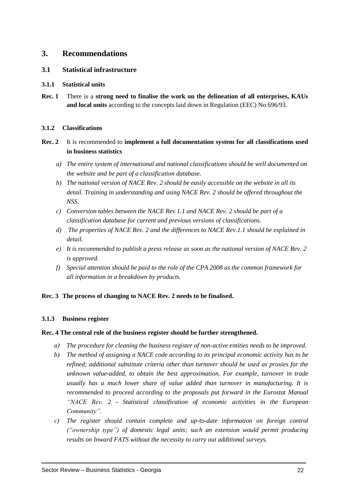#### <span id="page-25-0"></span>**3. Recommendations**

#### <span id="page-25-1"></span>**3.1 Statistical infrastructure**

#### <span id="page-25-2"></span>**3.1.1 Statistical units**

**Rec. 1** There is a **strong need to finalise the work on the delineation of all enterprises, KAUs and local units** according to the concepts laid down in Regulation (EEC) No 696/93.

#### <span id="page-25-3"></span>**3.1.2 Classifications**

- **Rec. 2** It is recommended to **implement a full documentation system for all classifications used in business statistics**
	- *a) The entire system of international and national classifications should be well documented on the website and be part of a classification database.*
	- *b) The national version of NACE Rev. 2 should be easily accessible on the website in all its detail. Training in understanding and using NACE Rev. 2 should be offered throughout the NSS.*
	- *c) Conversion tables between the NACE Rev 1.1 and NACE Rev. 2 should be part of a classification database for current and previous versions of classifications.*
	- *d) The properties of NACE Rev. 2 and the differences to NACE Rev.1.1 should be explained in detail.*
	- *e) It is recommended to publish a press release as soon as the national version of NACE Rev. 2 is approved.*
	- *f) Special attention should be paid to the role of the CPA 2008 as the common framework for all information in a breakdown by products.*

#### **Rec. 3 The process of changing to NACE Rev. 2 needs to be finalised.**

#### <span id="page-25-4"></span>**3.1.3 Business register**

#### **Rec. 4 The central role of the business register should be further strengthened.**

- *a) The procedure for cleaning the business register of non-active entities needs to be improved.*
- *b) The method of assigning a NACE code according to its principal economic activity has to be refined; additional substitute criteria other than turnover should be used as proxies for the unknown value-added, to obtain the best approximation. For example, turnover in trade usually has a much lower share of value added than turnover in manufacturing. It is recommended to proceed according to the proposals put forward in the Eurostat Manual "NACE Rev. 2 - Statistical classification of economic activities in the European Community".*
- *c) The register should contain complete and up-to-date information on foreign control ("ownership type") of domestic legal units; such an extension would permit producing results on Inward FATS without the necessity to carry out additional surveys.*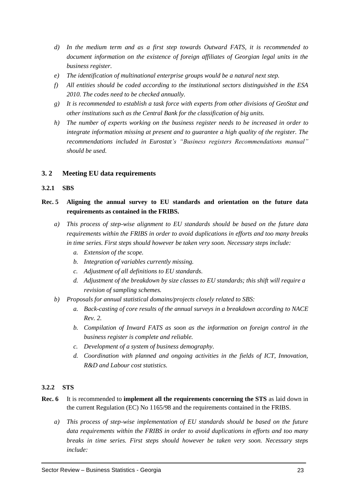- *d) In the medium term and as a first step towards Outward FATS, it is recommended to document information on the existence of foreign affiliates of Georgian legal units in the business register.*
- *e) The identification of multinational enterprise groups would be a natural next step.*
- *f) All entities should be coded according to the institutional sectors distinguished in the ESA 2010. The codes need to be checked annually.*
- *g) It is recommended to establish a task force with experts from other divisions of GeoStat and other institutions such as the Central Bank for the classification of big units.*
- *h) The number of experts working on the business register needs to be increased in order to integrate information missing at present and to guarantee a high quality of the register. The recommendations included in Eurostat's "Business registers Recommendations manual" should be used.*

#### <span id="page-26-0"></span>**3. 2 Meeting EU data requirements**

#### <span id="page-26-1"></span>**3.2.1 SBS**

#### **Rec. 5 Aligning the annual survey to EU standards and orientation on the future data requirements as contained in the FRIBS.**

- *a) This process of step-wise alignment to EU standards should be based on the future data requirements within the FRIBS in order to avoid duplications in efforts and too many breaks in time series. First steps should however be taken very soon. Necessary steps include:* 
	- *a. Extension of the scope.*
	- *b. Integration of variables currently missing.*
	- *c. Adjustment of all definitions to EU standards.*
	- *d. Adjustment of the breakdown by size classes to EU standards; this shift will require a revision of sampling schemes.*
- *b) Proposals for annual statistical domains/projects closely related to SBS:*
	- *a. Back-casting of core results of the annual surveys in a breakdown according to NACE Rev. 2.*
	- *b. Compilation of Inward FATS as soon as the information on foreign control in the business register is complete and reliable.*
	- *c. Development of a system of business demography.*
	- *d. Coordination with planned and ongoing activities in the fields of ICT, Innovation, R&D and Labour cost statistics.*

#### <span id="page-26-2"></span>**3.2.2 STS**

- **Rec. 6** It is recommended to **implement all the requirements concerning the STS** as laid down in the current Regulation (EC) No 1165/98 and the requirements contained in the FRIBS.
	- *a) This process of step-wise implementation of EU standards should be based on the future data requirements within the FRIBS in order to avoid duplications in efforts and too many breaks in time series. First steps should however be taken very soon. Necessary steps include:*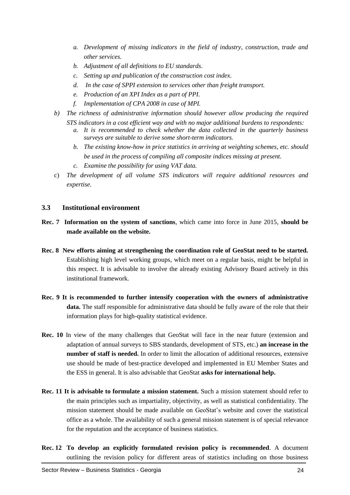- *a. Development of missing indicators in the field of industry, construction, trade and other services.*
- *b. Adjustment of all definitions to EU standards.*
- *c. Setting up and publication of the construction cost index.*
- *d. In the case of SPPI extension to services other than freight transport.*
- *e. Production of an XPI Index as a part of PPI.*
- *f. Implementation of CPA 2008 in case of MPI.*
- *b) The richness of administrative information should however allow producing the required STS indicators in a cost efficient way and with no major additional burdens to respondents:*
	- *a. It is recommended to check whether the data collected in the quarterly business surveys are suitable to derive some short-term indicators.*
	- *b. The existing know-how in price statistics in arriving at weighting schemes, etc. should be used in the process of compiling all composite indices missing at present.*
	- *c. Examine the possibility for using VAT data.*
- c) *The development of all volume STS indicators will require additional resources and expertise.*

#### <span id="page-27-0"></span>**3.3 Institutional environment**

- **Rec. 7 Information on the system of sanctions**, which came into force in June 2015, **should be made available on the website.**
- **Rec. 8 New efforts aiming at strengthening the coordination role of GeoStat need to be started.** Establishing high level working groups, which meet on a regular basis, might be helpful in this respect. It is advisable to involve the already existing Advisory Board actively in this institutional framework.
- **Rec. 9 It is recommended to further intensify cooperation with the owners of administrative data.** The staff responsible for administrative data should be fully aware of the role that their information plays for high-quality statistical evidence.
- **Rec. 10** In view of the many challenges that GeoStat will face in the near future (extension and adaptation of annual surveys to SBS standards, development of STS, etc.) **an increase in the number of staff is needed.** In order to limit the allocation of additional resources, extensive use should be made of best-practice developed and implemented in EU Member States and the ESS in general. It is also advisable that GeoStat **asks for international help.**
- **Rec. 11 It is advisable to formulate a mission statement.** Such a mission statement should refer to the main principles such as impartiality, objectivity, as well as statistical confidentiality. The mission statement should be made available on GeoStat's website and cover the statistical office as a whole. The availability of such a general mission statement is of special relevance for the reputation and the acceptance of business statistics.
- **Rec. 12 To develop an explicitly formulated revision policy is recommended**. A document outlining the revision policy for different areas of statistics including on those business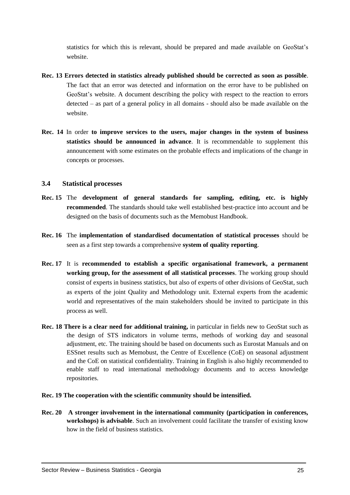statistics for which this is relevant, should be prepared and made available on GeoStat's website.

- **Rec. 13 Errors detected in statistics already published should be corrected as soon as possible**. The fact that an error was detected and information on the error have to be published on GeoStat's website. A document describing the policy with respect to the reaction to errors detected – as part of a general policy in all domains - should also be made available on the website.
- **Rec. 14** In order **to improve services to the users, major changes in the system of business statistics should be announced in advance**. It is recommendable to supplement this announcement with some estimates on the probable effects and implications of the change in concepts or processes.

#### <span id="page-28-0"></span>**3.4 Statistical processes**

- **Rec. 15** The **development of general standards for sampling, editing, etc. is highly recommended**. The standards should take well established best-practice into account and be designed on the basis of documents such as the Memobust Handbook.
- **Rec. 16** The **implementation of standardised documentation of statistical processes** should be seen as a first step towards a comprehensive **system of quality reporting**.
- **Rec. 17** It is **recommended to establish a specific organisational framework, a permanent working group, for the assessment of all statistical processes**. The working group should consist of experts in business statistics, but also of experts of other divisions of GeoStat, such as experts of the joint Quality and Methodology unit. External experts from the academic world and representatives of the main stakeholders should be invited to participate in this process as well.
- **Rec. 18 There is a clear need for additional training,** in particular in fields new to GeoStat such as the design of STS indicators in volume terms, methods of working day and seasonal adjustment, etc. The training should be based on documents such as Eurostat Manuals and on ESSnet results such as Memobust, the Centre of Excellence (CoE) on seasonal adjustment and the CoE on statistical confidentiality. Training in English is also highly recommended to enable staff to read international methodology documents and to access knowledge repositories.
- **Rec. 19 The cooperation with the scientific community should be intensified.**
- **Rec. 20 A stronger involvement in the international community (participation in conferences, workshops) is advisable**. Such an involvement could facilitate the transfer of existing know how in the field of business statistics.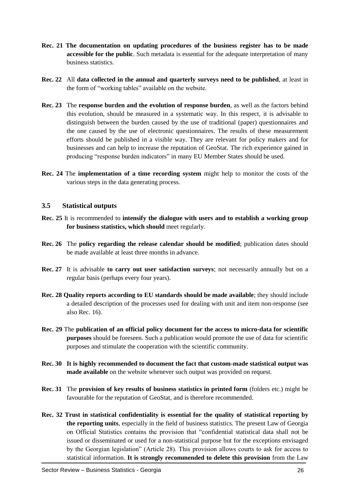- **Rec. 21 The documentation on updating procedures of the business register has to be made accessible for the public**. Such metadata is essential for the adequate interpretation of many business statistics.
- **Rec. 22** All **data collected in the annual and quarterly surveys need to be published**, at least in the form of "working tables" available on the website.
- **Rec. 23** The **response burden and the evolution of response burden**, as well as the factors behind this evolution, should be measured in a systematic way. In this respect, it is advisable to distinguish between the burden caused by the use of traditional (paper) questionnaires and the one caused by the use of electronic questionnaires. The results of these measurement efforts should be published in a visible way. They are relevant for policy makers and for businesses and can help to increase the reputation of GeoStat. The rich experience gained in producing "response burden indicators" in many EU Member States should be used.
- **Rec. 24** The **implementation of a time recording system** might help to monitor the costs of the various steps in the data generating process.

#### <span id="page-29-0"></span>**3.5 Statistical outputs**

- **Rec. 25** It is recommended to **intensify the dialogue with users and to establish a working group for business statistics, which should** meet regularly.
- **Rec. 26** The **policy regarding the release calendar should be modified**; publication dates should be made available at least three months in advance.
- **Rec. 27** It is advisable **to carry out user satisfaction surveys**; not necessarily annually but on a regular basis (perhaps every four years).
- **Rec. 28 Quality reports according to EU standards should be made available**; they should include a detailed description of the processes used for dealing with unit and item non-response (see also Rec. 16).
- **Rec. 29** The **publication of an official policy document for the access to micro-data for scientific purposes** should be foreseen. Such a publication would promote the use of data for scientific purposes and stimulate the cooperation with the scientific community.
- **Rec. 30 It is highly recommended to document the fact that custom-made statistical output was made available** on the website whenever such output was provided on request.
- **Rec. 31** The **provision of key results of business statistics in printed form** (folders etc.) might be favourable for the reputation of GeoStat, and is therefore recommended.
- **Rec. 32 Trust in statistical confidentiality is essential for the quality of statistical reporting by the reporting units**, especially in the field of business statistics. The present Law of Georgia on Official Statistics contains the provision that "confidential statistical data shall not be issued or disseminated or used for a non-statistical purpose but for the exceptions envisaged by the Georgian legislation" (Article 28). This provision allows courts to ask for access to statistical information. **It is strongly recommended to delete this provision** from the Law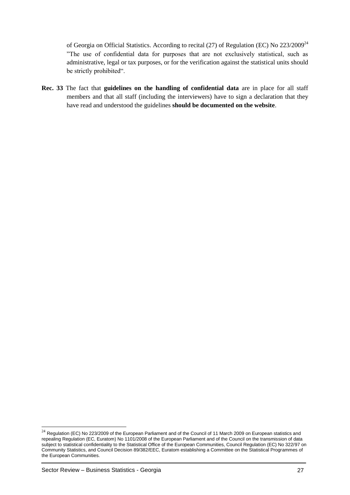of Georgia on Official Statistics. According to recital (27) of Regulation (EC) No 223/2009<sup>24</sup> "The use of confidential data for purposes that are not exclusively statistical, such as administrative, legal or tax purposes, or for the verification against the statistical units should be strictly prohibited".

**Rec. 33** The fact that **guidelines on the handling of confidential data** are in place for all staff members and that all staff (including the interviewers) have to sign a declaration that they have read and understood the guidelines **should be documented on the website**.

-

 $^{24}$  Regulation (EC) No 223/2009 of the European Parliament and of the Council of 11 March 2009 on European statistics and [repealing Regulation \(EC, Euratom\) No 1101/2008 of the European Parliament and of the Council on the transmission of data](http://eur-lex.europa.eu/LexUriServ/LexUriServ.do?uri=OJ:L:2009:087:0164:0173:en:PDF)  [subject to statistical confidentiality to the Statistical Office of the European Communities, Council Regulation \(EC\) No 322/97 on](http://eur-lex.europa.eu/LexUriServ/LexUriServ.do?uri=OJ:L:2009:087:0164:0173:en:PDF)  [Community Statistics, and Council Decision 89/382/EEC, Euratom establishing a Committee on the Statistical Programmes of](http://eur-lex.europa.eu/LexUriServ/LexUriServ.do?uri=OJ:L:2009:087:0164:0173:en:PDF)  [the European Communities.](http://eur-lex.europa.eu/LexUriServ/LexUriServ.do?uri=OJ:L:2009:087:0164:0173:en:PDF)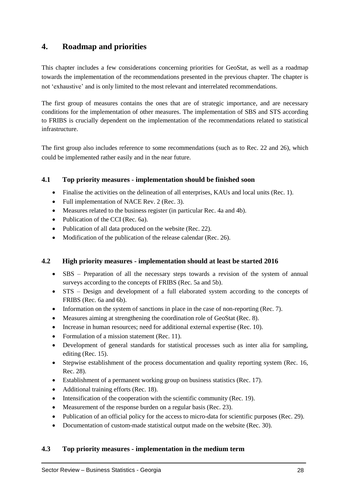### <span id="page-31-0"></span>**4. Roadmap and priorities**

This chapter includes a few considerations concerning priorities for GeoStat, as well as a roadmap towards the implementation of the recommendations presented in the previous chapter. The chapter is not 'exhaustive' and is only limited to the most relevant and interrelated recommendations.

The first group of measures contains the ones that are of strategic importance, and are necessary conditions for the implementation of other measures. The implementation of SBS and STS according to FRIBS is crucially dependent on the implementation of the recommendations related to statistical infrastructure.

The first group also includes reference to some recommendations (such as to Rec. 22 and 26), which could be implemented rather easily and in the near future.

#### <span id="page-31-1"></span>**4.1 Top priority measures - implementation should be finished soon**

- Finalise the activities on the delineation of all enterprises, KAUs and local units (Rec. 1).
- Full implementation of NACE Rev. 2 (Rec. 3).
- Measures related to the business register (in particular Rec. 4a and 4b).
- Publication of the CCI (Rec. 6a).
- Publication of all data produced on the website (Rec. 22).
- Modification of the publication of the release calendar (Rec. 26).

#### <span id="page-31-2"></span>**4.2 High priority measures - implementation should at least be started 2016**

- SBS Preparation of all the necessary steps towards a revision of the system of annual surveys according to the concepts of FRIBS (Rec. 5a and 5b).
- STS Design and development of a full elaborated system according to the concepts of FRIBS (Rec. 6a and 6b).
- Information on the system of sanctions in place in the case of non-reporting (Rec. 7).
- Measures aiming at strengthening the coordination role of GeoStat (Rec. 8).
- Increase in human resources; need for additional external expertise (Rec. 10).
- Formulation of a mission statement (Rec. 11).
- Development of general standards for statistical processes such as inter alia for sampling, editing (Rec. 15).
- Stepwise establishment of the process documentation and quality reporting system (Rec. 16, Rec. 28).
- Establishment of a permanent working group on business statistics (Rec. 17).
- Additional training efforts (Rec. 18).
- $\bullet$  Intensification of the cooperation with the scientific community (Rec. 19).
- Measurement of the response burden on a regular basis (Rec. 23).
- Publication of an official policy for the access to micro-data for scientific purposes (Rec. 29).
- Documentation of custom-made statistical output made on the website (Rec. 30).

#### <span id="page-31-3"></span>**4.3 Top priority measures - implementation in the medium term**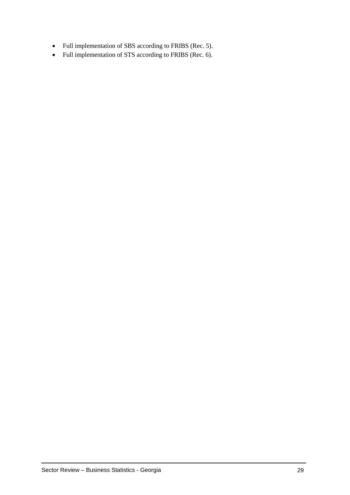- Full implementation of SBS according to FRIBS (Rec. 5).
- Full implementation of STS according to FRIBS (Rec. 6).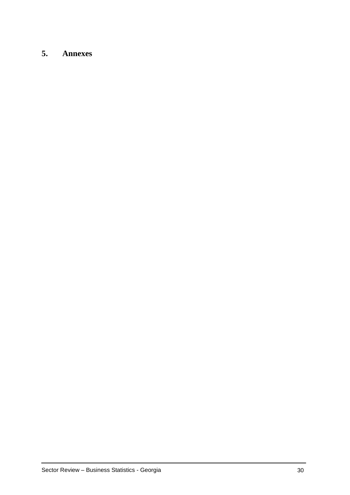# <span id="page-33-0"></span>**5. Annexes**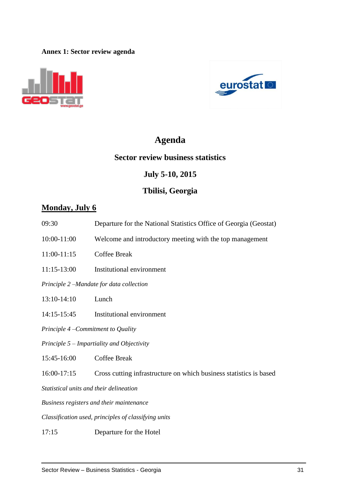#### <span id="page-34-0"></span>**Annex 1: Sector review agenda**





# **Agenda**

### **Sector review business statistics**

# **July 5-10, 2015**

# **Tbilisi, Georgia**

# **Monday, July 6**

- 09:30 Departure for the National Statistics Office of Georgia (Geostat)
- 10:00-11:00 Welcome and introductory meeting with the top management
- 11:00-11:15 Coffee Break
- 11:15-13:00 Institutional environment

*Principle 2 –Mandate for data collection*

- 13:10-14:10 Lunch
- 14:15-15:45 Institutional environment

*Principle 4 –Commitment to Quality*

*Principle 5 – Impartiality and Objectivity*

15:45-16:00 Coffee Break

16:00-17:15 Cross cutting infrastructure on which business statistics is based

*Statistical units and their delineation*

*Business registers and their maintenance*

*Classification used, principles of classifying units*

17:15 Departure for the Hotel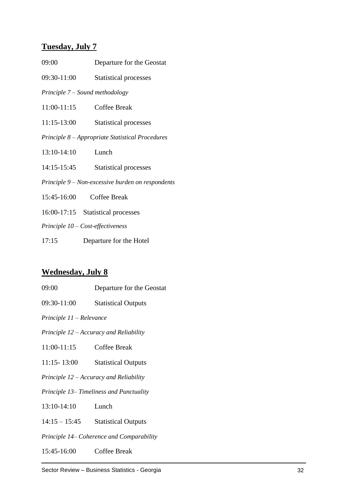# **Tuesday, July 7**

| 09:00       | Departure for the Geostat                         |
|-------------|---------------------------------------------------|
| 09:30-11:00 | <b>Statistical processes</b>                      |
|             | Principle $7 -$ Sound methodology                 |
| 11:00-11:15 | Coffee Break                                      |
| 11:15-13:00 | <b>Statistical processes</b>                      |
|             | Principle 8 – Appropriate Statistical Procedures  |
| 13:10-14:10 | Lunch                                             |
| 14:15-15:45 | <b>Statistical processes</b>                      |
|             | Principle 9 - Non-excessive burden on respondents |
| 15:45-16:00 | Coffee Break                                      |
|             | 16:00-17:15 Statistical processes                 |
|             | Principle $10$ – Cost-effectiveness               |
| 17:15       | Departure for the Hotel                           |

# **Wednesday, July 8**

| Departure for the Geostat                 |  |  |
|-------------------------------------------|--|--|
| <b>Statistical Outputs</b>                |  |  |
| Principle 11 – Relevance                  |  |  |
| Principle 12 – Accuracy and Reliability   |  |  |
| Coffee Break                              |  |  |
| <b>Statistical Outputs</b>                |  |  |
| Principle 12 – Accuracy and Reliability   |  |  |
| Principle 13–Timeliness and Punctuality   |  |  |
| Lunch                                     |  |  |
| <b>Statistical Outputs</b>                |  |  |
| Principle 14– Coherence and Comparability |  |  |
| Coffee Break                              |  |  |
|                                           |  |  |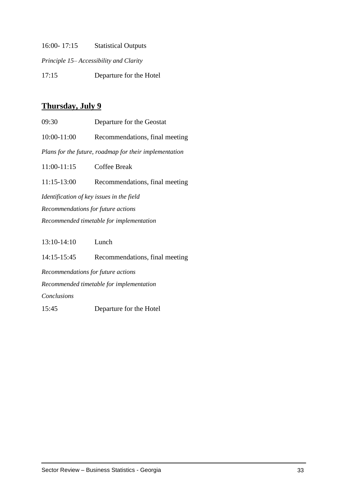16:00- 17:15 Statistical Outputs

*Principle 15– Accessibility and Clarity*

17:15 Departure for the Hotel

# **Thursday, July 9**

| 09:30                                     | Departure for the Geostat                              |  |
|-------------------------------------------|--------------------------------------------------------|--|
| $10:00 - 11:00$                           | Recommendations, final meeting                         |  |
|                                           | Plans for the future, roadmap for their implementation |  |
| $11:00-11:15$                             | <b>Coffee Break</b>                                    |  |
| $11:15-13:00$                             | Recommendations, final meeting                         |  |
| Identification of key issues in the field |                                                        |  |
| Recommendations for future actions        |                                                        |  |
| Recommended timetable for implementation  |                                                        |  |
|                                           |                                                        |  |

13:10-14:10 Lunch

14:15-15:45 Recommendations, final meeting

*Recommendations for future actions Recommended timetable for implementation*

*Conclusions*

15:45 Departure for the Hotel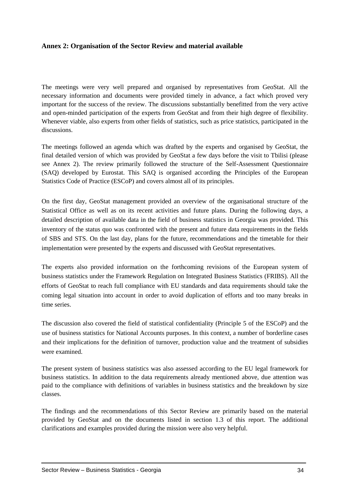#### <span id="page-37-0"></span>**Annex 2: Organisation of the Sector Review and material available**

The meetings were very well prepared and organised by representatives from GeoStat. All the necessary information and documents were provided timely in advance, a fact which proved very important for the success of the review. The discussions substantially benefitted from the very active and open-minded participation of the experts from GeoStat and from their high degree of flexibility. Whenever viable, also experts from other fields of statistics, such as price statistics, participated in the discussions.

The meetings followed an agenda which was drafted by the experts and organised by GeoStat, the final detailed version of which was provided by GeoStat a few days before the visit to Tbilisi (please see Annex 2). The review primarily followed the structure of the Self-Assessment Questionnaire (SAQ) developed by Eurostat. This SAQ is organised according the Principles of the European Statistics Code of Practice (ESCoP) and covers almost all of its principles.

On the first day, GeoStat management provided an overview of the organisational structure of the Statistical Office as well as on its recent activities and future plans. During the following days, a detailed description of available data in the field of business statistics in Georgia was provided. This inventory of the status quo was confronted with the present and future data requirements in the fields of SBS and STS. On the last day, plans for the future, recommendations and the timetable for their implementation were presented by the experts and discussed with GeoStat representatives.

The experts also provided information on the forthcoming revisions of the European system of business statistics under the Framework Regulation on Integrated Business Statistics (FRIBS). All the efforts of GeoStat to reach full compliance with EU standards and data requirements should take the coming legal situation into account in order to avoid duplication of efforts and too many breaks in time series.

The discussion also covered the field of statistical confidentiality (Principle 5 of the ESCoP) and the use of business statistics for National Accounts purposes. In this context, a number of borderline cases and their implications for the definition of turnover, production value and the treatment of subsidies were examined.

The present system of business statistics was also assessed according to the EU legal framework for business statistics. In addition to the data requirements already mentioned above, due attention was paid to the compliance with definitions of variables in business statistics and the breakdown by size classes.

The findings and the recommendations of this Sector Review are primarily based on the material provided by GeoStat and on the documents listed in section 1.3 of this report. The additional clarifications and examples provided during the mission were also very helpful.